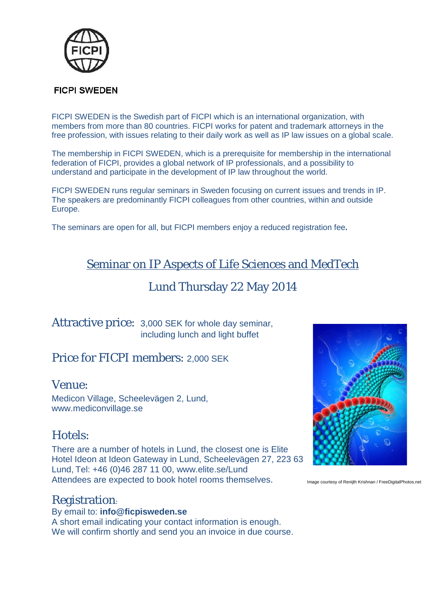

### **FICPI SWEDEN**

FICPI SWEDEN is the Swedish part of FICPI which is an international organization, with members from more than 80 countries. FICPI works for patent and trademark attorneys in the free profession, with issues relating to their daily work as well as IP law issues on a global scale.

The membership in FICPI SWEDEN, which is a prerequisite for membership in the international federation of FICPI, provides a global network of IP professionals, and a possibility to understand and participate in the development of IP law throughout the world.

FICPI SWEDEN runs regular seminars in Sweden focusing on current issues and trends in IP. The speakers are predominantly FICPI colleagues from other countries, within and outside Europe.

The seminars are open for all, but FICPI members enjoy a reduced registration fee**.**

## Seminar on IP Aspects of Life Sciences and MedTech

## Lund Thursday 22 May 2014

Attractive price: 3,000 SEK for whole day seminar, including lunch and light buffet

## Price for FICPI members: 2,000 SEK

### Venue:

Medicon Village, Scheelevägen 2, Lund, www.mediconvillage.se

### Hotels:

There are a number of hotels in Lund, the closest one is Elite Hotel Ideon at Ideon Gateway in Lund, Scheelevägen 27, 223 63 Lund, Tel: +46 (0)46 287 11 00, www.elite.se/Lund Attendees are expected to book hotel rooms themselves.

### Registration:

By email to: **info@ficpisweden.se** A short email indicating your contact information is enough. We will confirm shortly and send you an invoice in due course.



Image courtesy of Renijth Krishnan / FreeDigitalPhotos.net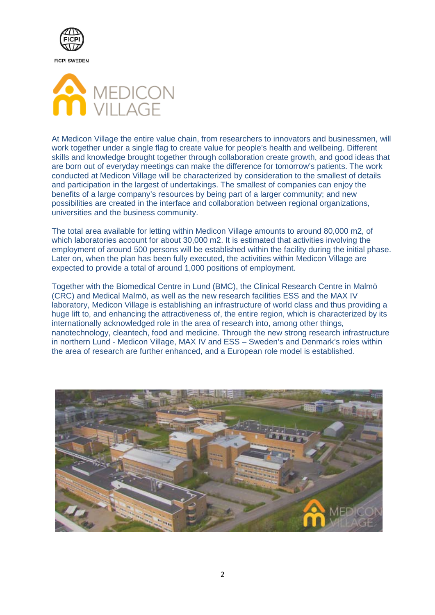



At Medicon Village the entire value chain, from researchers to innovators and businessmen, will work together under a single flag to create value for people's health and wellbeing. Different skills and knowledge brought together through collaboration create growth, and good ideas that are born out of everyday meetings can make the difference for tomorrow's patients. The work conducted at Medicon Village will be characterized by consideration to the smallest of details and participation in the largest of undertakings. The smallest of companies can enjoy the benefits of a large company's resources by being part of a larger community; and new possibilities are created in the interface and collaboration between regional organizations, universities and the business community.

The total area available for letting within Medicon Village amounts to around 80,000 m2, of which laboratories account for about 30,000 m2. It is estimated that activities involving the employment of around 500 persons will be established within the facility during the initial phase. Later on, when the plan has been fully executed, the activities within Medicon Village are expected to provide a total of around 1,000 positions of employment.

Together with the Biomedical Centre in Lund (BMC), the Clinical Research Centre in Malmö (CRC) and Medical Malmö, as well as the new research facilities ESS and the MAX IV laboratory, Medicon Village is establishing an infrastructure of world class and thus providing a huge lift to, and enhancing the attractiveness of, the entire region, which is characterized by its internationally acknowledged role in the area of research into, among other things, nanotechnology, cleantech, food and medicine. Through the new strong research infrastructure in northern Lund - Medicon Village, MAX IV and ESS – Sweden's and Denmark's roles within the area of research are further enhanced, and a European role model is established.

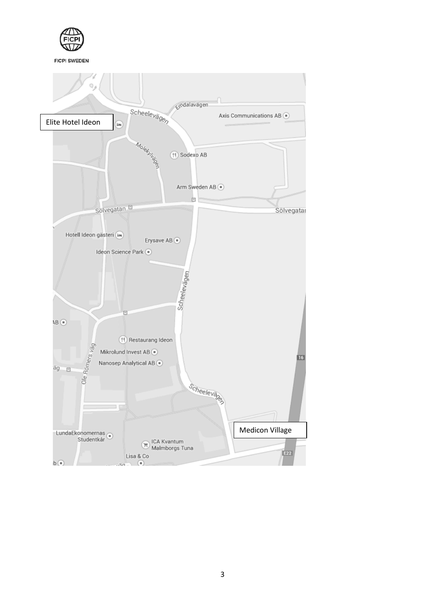

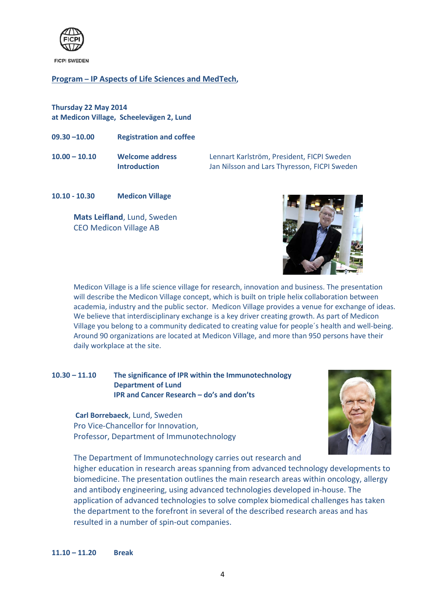

#### **Program – IP Aspects of Life Sciences and MedTech,**

**Thursday 22 May 2014 at Medicon Village, Scheelevägen 2, Lund**

- **09.30 –10.00 Registration and coffee**
- 

**10.00 – 10.10 Welcome address** Lennart Karlström, President, FICPI Sweden **Introduction** Jan Nilsson and Lars Thyresson, FICPI Sweden

**10.10 - 10.30 Medicon Village**

**Mats Leifland**, Lund, Sweden CEO Medicon Village AB



Medicon Village is a life science village for research, innovation and business. The presentation will describe the Medicon Village concept, which is built on triple helix collaboration between academia, industry and the public sector. Medicon Village provides a venue for exchange of ideas. We believe that interdisciplinary exchange is a key driver creating growth. As part of Medicon Village you belong to a community dedicated to creating value for people´s health and well-being. Around 90 organizations are located at Medicon Village, and more than 950 persons have their daily workplace at the site.

#### **10.30 – 11.10 The significance of IPR within the Immunotechnology Department of Lund IPR and Cancer Research – do's and don'ts**

**Carl Borrebaeck**, Lund, Sweden Pro Vice-Chancellor for Innovation, Professor, Department of Immunotechnology



The Department of Immunotechnology carries out research and

higher education in research areas spanning from advanced technology developments to biomedicine. The presentation outlines the main research areas within oncology, allergy and antibody engineering, using advanced technologies developed in-house. The application of advanced technologies to solve complex biomedical challenges has taken the department to the forefront in several of the described research areas and has resulted in a number of spin-out companies.

**11.10 – 11.20 Break**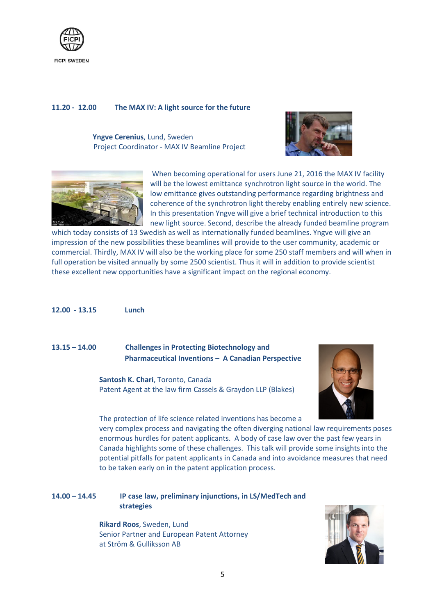

#### **11.20 - 12.00 The MAX IV: A light source for the future**

**Yngve Cerenius**, Lund, Sweden Project Coordinator - MAX IV Beamline Project





When becoming operational for users June 21, 2016 the MAX IV facility will be the lowest emittance synchrotron light source in the world. The low emittance gives outstanding performance regarding brightness and coherence of the synchrotron light thereby enabling entirely new science. In this presentation Yngve will give a brief technical introduction to this new light source. Second, describe the already funded beamline program

which today consists of 13 Swedish as well as internationally funded beamlines. Yngve will give an impression of the new possibilities these beamlines will provide to the user community, academic or commercial. Thirdly, MAX IV will also be the working place for some 250 staff members and will when in full operation be visited annually by some 2500 scientist. Thus it will in addition to provide scientist these excellent new opportunities have a significant impact on the regional economy.

#### **12.00 - 13.15 Lunch**

#### **13.15 – 14.00 Challenges in Protecting Biotechnology and Pharmaceutical Inventions – A Canadian Perspective**

**Santosh K. Chari**, Toronto, Canada Patent Agent at the law firm Cassels & Graydon LLP (Blakes)



The protection of life science related inventions has become a

very complex process and navigating the often diverging national law requirements poses enormous hurdles for patent applicants. A body of case law over the past few years in Canada highlights some of these challenges. This talk will provide some insights into the potential pitfalls for patent applicants in Canada and into avoidance measures that need to be taken early on in the patent application process.

**14.00 – 14.45 IP case law, preliminary injunctions, in LS/MedTech and strategies**

> **Rikard Roos**, Sweden, Lund Senior Partner and European Patent Attorney at Ström & Gulliksson AB

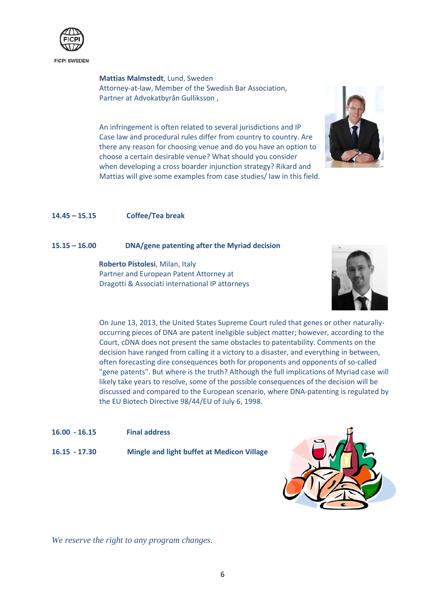

**Mattias Malmstedt**, Lund, Sweden Attorney-at-law, Member of the Swedish Bar Association, Partner at Advokatbyrån Gulliksson ,

An infringement is often related to several jurisdictions and IP Case law and procedural rules differ from country to country. Are there any reason for choosing venue and do you have an option to choose a certain desirable venue? What should you consider when developing a cross boarder injunction strategy? Rikard and Mattias will give some examples from case studies/ law in this field.



#### **14.45 – 15.15 Coffee/Tea break**

#### **15.15 – 16.00 DNA/gene patenting after the Myriad decision**

 **Roberto Pistolesi**, Milan, Italy Partner and European Patent Attorney at Dragotti & Associati international IP attorneys



On June 13, 2013, the United States Supreme Court ruled that genes or other naturallyoccurring pieces of DNA are patent ineligible subject matter; however, according to the Court, cDNA does not present the same obstacles to patentability. Comments on the decision have ranged from calling it a victory to a disaster, and everything in between, often forecasting dire consequences both for proponents and opponents of so-called "gene patents". But where is the truth? Although the full implications of Myriad case will likely take years to resolve, some of the possible consequences of the decision will be discussed and compared to the European scenario, where DNA-patenting is regulated by the EU Biotech Directive 98/44/EU of July 6, 1998.

- **16.00 - 16.15 Final address**
- **16.15 - 17.30 Mingle and light buffet at Medicon Village**



*We reserve the right to any program changes.*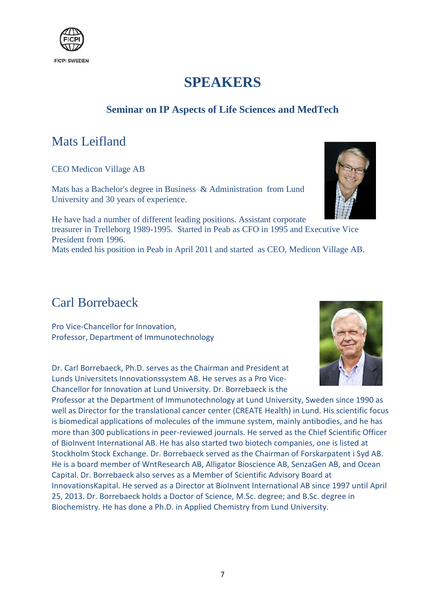

# **SPEAKERS**

### **Seminar on IP Aspects of Life Sciences and MedTech**

## Mats Leifland

CEO Medicon Village AB

Mats has a Bachelor's degree in Business & Administration from Lund University and 30 years of experience.



## Carl Borrebaeck

Pro Vice-Chancellor for Innovation, Professor, Department of Immunotechnology

Dr. Carl Borrebaeck, Ph.D. serves as the Chairman and President at Lunds Universitets Innovationssystem AB. He serves as a Pro Vice-Chancellor for Innovation at Lund University. Dr. Borrebaeck is the

Professor at the Department of Immunotechnology at Lund University, Sweden since 1990 as well as Director for the translational cancer center (CREATE Health) in Lund. His scientific focus is biomedical applications of molecules of the immune system, mainly antibodies, and he has more than 300 publications in peer-reviewed journals. He served as the Chief Scientific Officer of BioInvent International AB. He has also started two biotech companies, one is listed at Stockholm Stock Exchange. Dr. Borrebaeck served as the Chairman of Forskarpatent i Syd AB. He is a board member of WntResearch AB, Alligator Bioscience AB, SenzaGen AB, and Ocean Capital. Dr. Borrebaeck also serves as a Member of Scientific Advisory Board at InnovationsKapital. He served as a Director at BioInvent International AB since 1997 until April 25, 2013. Dr. Borrebaeck holds a Doctor of Science, M.Sc. degree; and B.Sc. degree in Biochemistry. He has done a Ph.D. in Applied Chemistry from Lund University.



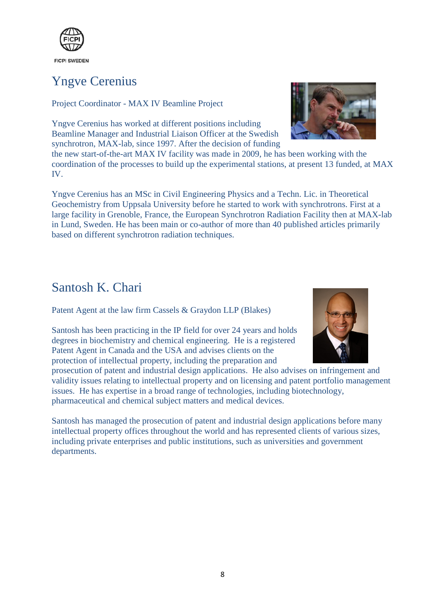

# Yngve Cerenius

Project Coordinator - MAX IV Beamline Project

Yngve Cerenius has worked at different positions including Beamline Manager and Industrial Liaison Officer at the Swedish synchrotron, MAX-lab, since 1997. After the decision of funding

the new start-of-the-art MAX IV facility was made in 2009, he has been working with the coordination of the processes to build up the experimental stations, at present 13 funded, at MAX IV.

Yngve Cerenius has an MSc in Civil Engineering Physics and a Techn. Lic. in Theoretical Geochemistry from Uppsala University before he started to work with synchrotrons. First at a large facility in Grenoble, France, the European Synchrotron Radiation Facility then at MAX-lab in Lund, Sweden. He has been main or co-author of more than 40 published articles primarily based on different synchrotron radiation techniques.

# Santosh K. Chari

Patent Agent at the law firm Cassels & Graydon LLP (Blakes)

Santosh has been practicing in the IP field for over 24 years and holds degrees in biochemistry and chemical engineering. He is a registered Patent Agent in Canada and the USA and advises clients on the protection of intellectual property, including the preparation and

prosecution of patent and industrial design applications. He also advises on infringement and validity issues relating to intellectual property and on licensing and patent portfolio management issues. He has expertise in a broad range of technologies, including biotechnology, pharmaceutical and chemical subject matters and medical devices.

Santosh has managed the prosecution of patent and industrial design applications before many intellectual property offices throughout the world and has represented clients of various sizes, including private enterprises and public institutions, such as universities and government departments.



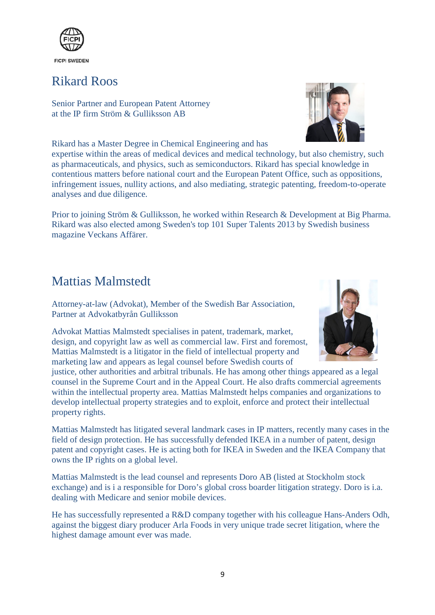

# Rikard Roos

Senior Partner and European Patent Attorney at the IP firm Ström & Gulliksson AB

Rikard has a Master Degree in Chemical Engineering and has

expertise within the areas of medical devices and medical technology, but also chemistry, such as pharmaceuticals, and physics, such as semiconductors. Rikard has special knowledge in contentious matters before national court and the European Patent Office, such as oppositions, infringement issues, nullity actions, and also mediating, strategic patenting, freedom-to-operate analyses and due diligence.

Prior to joining Ström & Gulliksson, he worked within Research & Development at Big Pharma. Rikard was also elected among Sweden's top 101 Super Talents 2013 by Swedish business magazine Veckans Affärer.

# Mattias Malmstedt

Attorney-at-law (Advokat), Member of the Swedish Bar Association, Partner at Advokatbyrån Gulliksson

Advokat Mattias Malmstedt specialises in patent, trademark, market, design, and copyright law as well as commercial law. First and foremost, Mattias Malmstedt is a litigator in the field of intellectual property and marketing law and appears as legal counsel before Swedish courts of

justice, other authorities and arbitral tribunals. He has among other things appeared as a legal counsel in the Supreme Court and in the Appeal Court. He also drafts commercial agreements within the intellectual property area. Mattias Malmstedt helps companies and organizations to develop intellectual property strategies and to exploit, enforce and protect their intellectual property rights.

Mattias Malmstedt has litigated several landmark cases in IP matters, recently many cases in the field of design protection. He has successfully defended IKEA in a number of patent, design patent and copyright cases. He is acting both for IKEA in Sweden and the IKEA Company that owns the IP rights on a global level.

Mattias Malmstedt is the lead counsel and represents Doro AB (listed at Stockholm stock exchange) and is i a responsible for Doro's global cross boarder litigation strategy. Doro is i.a. dealing with Medicare and senior mobile devices.

He has successfully represented a R&D company together with his colleague Hans-Anders Odh, against the biggest diary producer Arla Foods in very unique trade secret litigation, where the highest damage amount ever was made.